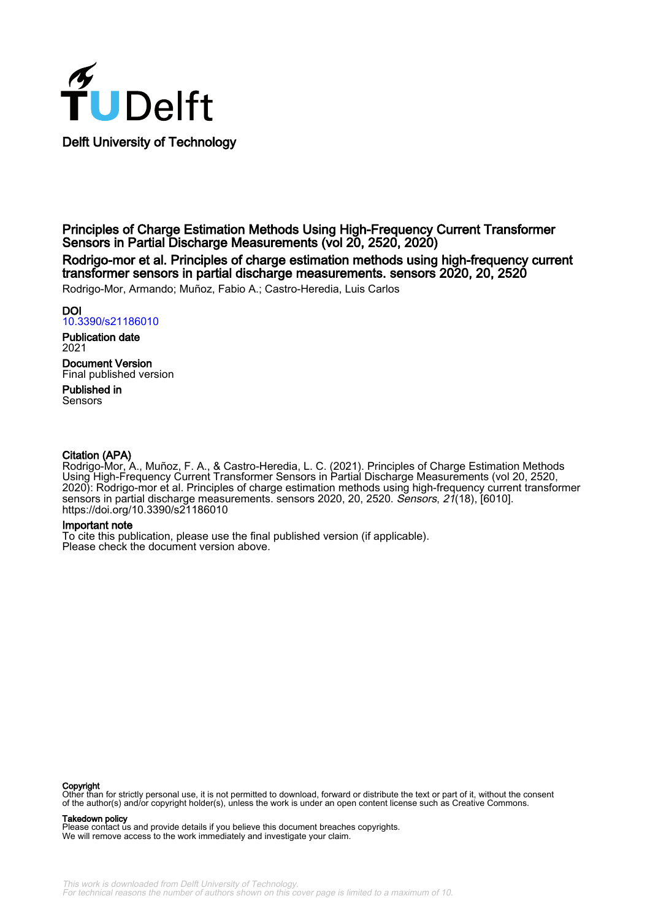

Principles of Charge Estimation Methods Using High-Frequency Current Transformer Sensors in Partial Discharge Measurements (vol 20, 2520, 2020)

Rodrigo-mor et al. Principles of charge estimation methods using high-frequency current transformer sensors in partial discharge measurements. sensors 2020, 20, 2520

Rodrigo-Mor, Armando; Muñoz, Fabio A.; Castro-Heredia, Luis Carlos

## DOI

[10.3390/s21186010](https://doi.org/10.3390/s21186010)

Publication date 2021 Document Version Final published version

Published in **Sensors** 

### Citation (APA)

Rodrigo-Mor, A., Muñoz, F. A., & Castro-Heredia, L. C. (2021). Principles of Charge Estimation Methods Using High-Frequency Current Transformer Sensors in Partial Discharge Measurements (vol 20, 2520, 2020): Rodrigo-mor et al. Principles of charge estimation methods using high-frequency current transformer sensors in partial discharge measurements. sensors 2020, 20, 2520. Sensors, 21(18), [6010]. <https://doi.org/10.3390/s21186010>

#### Important note

To cite this publication, please use the final published version (if applicable). Please check the document version above.

#### Copyright

Other than for strictly personal use, it is not permitted to download, forward or distribute the text or part of it, without the consent of the author(s) and/or copyright holder(s), unless the work is under an open content license such as Creative Commons.

#### Takedown policy

Please contact us and provide details if you believe this document breaches copyrights. We will remove access to the work immediately and investigate your claim.